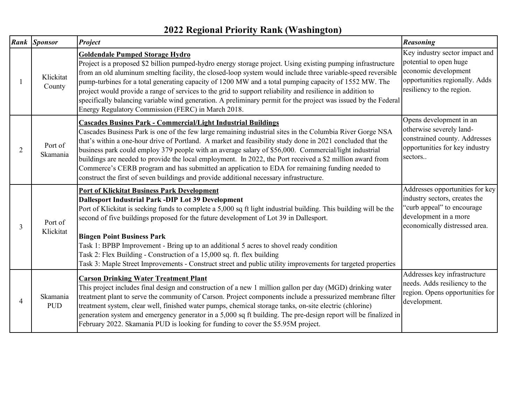## **2022 Regional Priority Rank (Washington)**

|                | <b>Rank</b> Sponsor    | <b>Project</b>                                                                                                                                                                                                                                                                                                                                                                                                                                                                                                                                                                                                                                                                                                      | <b>Reasoning</b>                                                                                                                                         |
|----------------|------------------------|---------------------------------------------------------------------------------------------------------------------------------------------------------------------------------------------------------------------------------------------------------------------------------------------------------------------------------------------------------------------------------------------------------------------------------------------------------------------------------------------------------------------------------------------------------------------------------------------------------------------------------------------------------------------------------------------------------------------|----------------------------------------------------------------------------------------------------------------------------------------------------------|
|                | Klickitat<br>County    | <b>Goldendale Pumped Storage Hydro</b><br>Project is a proposed \$2 billion pumped-hydro energy storage project. Using existing pumping infrastructure<br>from an old aluminum smelting facility, the closed-loop system would include three variable-speed reversible<br>pump-turbines for a total generating capacity of 1200 MW and a total pumping capacity of 1552 MW. The<br>project would provide a range of services to the grid to support reliability and resilience in addition to<br>specifically balancing variable wind generation. A preliminary permit for the project was issued by the Federal<br>Energy Regulatory Commission (FERC) in March 2018.                                              | Key industry sector impact and<br>potential to open huge<br>economic development<br>opportunities regionally. Adds<br>resiliency to the region.          |
| 2              | Port of<br>Skamania    | <b>Cascades Busines Park - Commercial/Light Industrial Buildings</b><br>Cascades Business Park is one of the few large remaining industrial sites in the Columbia River Gorge NSA<br>that's within a one-hour drive of Portland. A market and feasibility study done in 2021 concluded that the<br>business park could employ 379 people with an average salary of \$56,000. Commercial/light industrial<br>buildings are needed to provide the local employment. In 2022, the Port received a \$2 million award from<br>Commerce's CERB program and has submitted an application to EDA for remaining funding needed to<br>construct the first of seven buildings and provide additional necessary infrastructure. | Opens development in an<br>otherwise severely land-<br>constrained county. Addresses<br>opportunities for key industry<br>sectors                        |
| 3              | Port of<br>Klickitat   | <b>Port of Klickitat Business Park Development</b><br>Dallesport Industrial Park -DIP Lot 39 Development<br>Port of Klickitat is seeking funds to complete a 5,000 sq ft light industrial building. This building will be the<br>second of five buildings proposed for the future development of Lot 39 in Dallesport.<br><b>Bingen Point Business Park</b><br>Task 1: BPBP Improvement - Bring up to an additional 5 acres to shovel ready condition<br>Task 2: Flex Building - Construction of a 15,000 sq. ft. flex building<br>Task 3: Maple Street Improvements - Construct street and public utility improvements for targeted properties                                                                     | Addresses opportunities for key<br>industry sectors, creates the<br>"curb appeal" to encourage<br>development in a more<br>economically distressed area. |
| $\overline{4}$ | Skamania<br><b>PUD</b> | <b>Carson Drinking Water Treatment Plant</b><br>This project includes final design and construction of a new 1 million gallon per day (MGD) drinking water<br>treatment plant to serve the community of Carson. Project components include a pressurized membrane filter<br>treatment system, clear well, finished water pumps, chemical storage tanks, on-site electric (chlorine)<br>generation system and emergency generator in a 5,000 sq ft building. The pre-design report will be finalized in<br>February 2022. Skamania PUD is looking for funding to cover the \$5.95M project.                                                                                                                          | Addresses key infrastructure<br>needs. Adds resiliency to the<br>region. Opens opportunities for<br>development.                                         |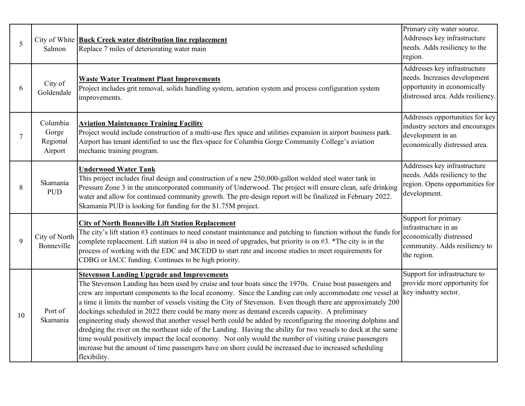| 5  | Salmon                                   | City of White <b>Buck Creek water distribution line replacement</b><br>Replace 7 miles of deteriorating water main                                                                                                                                                                                                                                                                                                                                                                                                                                                                                                                                                                                                                                                                                                                                                                                                                                                   | Primary city water source.<br>Addresses key infrastructure<br>needs. Adds resiliency to the<br>region.                           |
|----|------------------------------------------|----------------------------------------------------------------------------------------------------------------------------------------------------------------------------------------------------------------------------------------------------------------------------------------------------------------------------------------------------------------------------------------------------------------------------------------------------------------------------------------------------------------------------------------------------------------------------------------------------------------------------------------------------------------------------------------------------------------------------------------------------------------------------------------------------------------------------------------------------------------------------------------------------------------------------------------------------------------------|----------------------------------------------------------------------------------------------------------------------------------|
| 6  | City of<br>Goldendale                    | <b>Waste Water Treatment Plant Improvements</b><br>Project includes grit removal, solids handling system, aeration system and process configuration system<br>improvements.                                                                                                                                                                                                                                                                                                                                                                                                                                                                                                                                                                                                                                                                                                                                                                                          | Addresses key infrastructure<br>needs. Increases development<br>opportunity in economically<br>distressed area. Adds resiliency. |
| 7  | Columbia<br>Gorge<br>Regional<br>Airport | <b>Aviation Maintenance Training Facility</b><br>Project would include construction of a multi-use flex space and utilities expansion in airport business park.<br>Airport has tenant identified to use the flex-space for Columbia Gorge Community College's aviation<br>mechanic training program.                                                                                                                                                                                                                                                                                                                                                                                                                                                                                                                                                                                                                                                                 | Addresses opportunities for key<br>industry sectors and encourages<br>development in an<br>economically distressed area.         |
| 8  | Skamania<br><b>PUD</b>                   | <b>Underwood Water Tank</b><br>This project includes final design and construction of a new 250,000-gallon welded steel water tank in<br>Pressure Zone 3 in the unincorporated community of Underwood. The project will ensure clean, safe drinking<br>water and allow for continued community growth. The pre-design report will be finalized in February 2022.<br>Skamania PUD is looking for funding for the \$1.75M project.                                                                                                                                                                                                                                                                                                                                                                                                                                                                                                                                     | Addresses key infrastructure<br>needs. Adds resiliency to the<br>region. Opens opportunities for<br>development.                 |
| 9  | City of North<br>Bonneville              | <b>City of North Bonneville Lift Station Replacement</b><br>The city's lift station #3 continues to need constant maintenance and patching to function without the funds for<br>complete replacement. Lift station #4 is also in need of upgrades, but priority is on #3. *The city is in the<br>process of working with the EDC and MCEDD to start rate and income studies to meet requirements for<br>CDBG or IACC funding. Continues to be high priority.                                                                                                                                                                                                                                                                                                                                                                                                                                                                                                         | Support for primary<br>infrastructure in an<br>economically distressed<br>community. Adds resiliency to<br>the region.           |
| 10 | Port of<br>Skamania                      | <b>Stevenson Landing Upgrade and Improvements</b><br>The Stevenson Landing has been used by cruise and tour boats since the 1970s. Cruise boat passengers and<br>crew are important components to the local economy. Since the Landing can only accommodate one vessel at<br>a time it limits the number of vessels visiting the City of Stevenson. Even though there are approximately 200<br>dockings scheduled in 2022 there could be many more as demand exceeds capacity. A preliminary<br>engineering study showed that another vessel berth could be added by reconfiguring the mooring dolphins and<br>dredging the river on the northeast side of the Landing. Having the ability for two vessels to dock at the same<br>time would positively impact the local economy. Not only would the number of visiting cruise passengers<br>increase but the amount of time passengers have on shore could be increased due to increased scheduling<br>flexibility. | Support for infrastructure to<br>provide more opportunity for<br>key industry sector.                                            |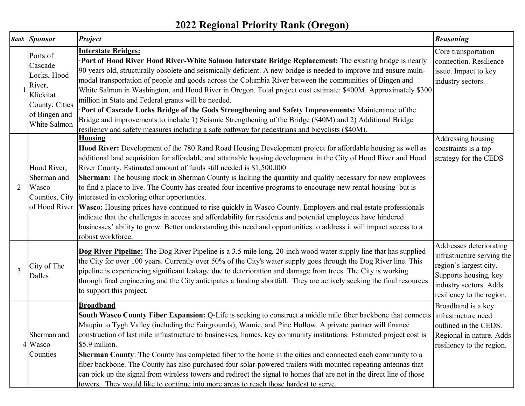## **2022 Regional Priority Rank (Oregon)**

|   | Rank Sponsor                                                                                                 | <b>Project</b>                                                                                                                                                                                                                                                                                                                                                                                                                                                                                                                                                                                                                                                                                                                                                                                                                                                                                                                                                                                                         | <b>Reasoning</b>                                                                                                                                                |
|---|--------------------------------------------------------------------------------------------------------------|------------------------------------------------------------------------------------------------------------------------------------------------------------------------------------------------------------------------------------------------------------------------------------------------------------------------------------------------------------------------------------------------------------------------------------------------------------------------------------------------------------------------------------------------------------------------------------------------------------------------------------------------------------------------------------------------------------------------------------------------------------------------------------------------------------------------------------------------------------------------------------------------------------------------------------------------------------------------------------------------------------------------|-----------------------------------------------------------------------------------------------------------------------------------------------------------------|
|   | Ports of<br>Cascade<br>Locks, Hood<br>River,<br>Klickitat<br>County; Cities<br>of Bingen and<br>White Salmon | <b>Interstate Bridges:</b><br>Port of Hood River Hood River-White Salmon Interstate Bridge Replacement: The existing bridge is nearly<br>90 years old, structurally obsolete and seismically deficient. A new bridge is needed to improve and ensure multi-<br>modal transportation of people and goods across the Columbia River between the communities of Bingen and<br>White Salmon in Washington, and Hood River in Oregon. Total project cost estimate: \$400M. Approximately \$300<br>million in State and Federal grants will be needed.<br>Port of Cascade Locks Bridge of the Gods Strengthening and Safety Improvements: Maintenance of the<br>Bridge and improvements to include 1) Seismic Strengthening of the Bridge (\$40M) and 2) Additional Bridge<br>resiliency and safety measures including a safe pathway for pedestrians and bicyclists (\$40M).                                                                                                                                                | Core transportation<br>connection. Resilience<br>issue. Impact to key<br>industry sectors.                                                                      |
| 2 | Hood River,<br>Sherman and<br>Wasco                                                                          | <b>Housing</b><br>Hood River: Development of the 780 Rand Road Housing Development project for affordable housing as well as<br>additional land acquisition for affordable and attainable housing development in the City of Hood River and Hood<br>River County. Estimated amount of funds still needed is \$1,500,000<br>Sherman: The housing stock in Sherman County is lacking the quantity and quality necessary for new employees<br>to find a place to live. The County has created four incentive programs to encourage new rental housing but is<br>Counties, City   interested in exploring other opportunties.<br>of Hood River   Wasco: Housing prices have continued to rise quickly in Wasco County. Employers and real estate professionals<br>indicate that the challenges in access and affordability for residents and potential employees have hindered<br>businesses' ability to grow. Better understanding this need and opportunities to address it will impact access to a<br>robust workforce. | Addressing housing<br>constraints is a top<br>strategy for the CEDS                                                                                             |
| 3 | City of The<br>Dalles                                                                                        | Dog River Pipeline: The Dog River Pipeline is a 3.5 mile long, 20-inch wood water supply line that has supplied<br>the City for over 100 years. Currently over 50% of the City's water supply goes through the Dog River line. This<br>pipeline is experiencing significant leakage due to deterioration and damage from trees. The City is working<br>through final engineering and the City anticipates a funding shortfall. They are actively seeking the final resources<br>to support this project.                                                                                                                                                                                                                                                                                                                                                                                                                                                                                                               | Addresses deteriorating<br>infrastructure serving the<br>region's largest city.<br>Supports housing, key<br>industry sectors. Adds<br>resiliency to the region. |
|   | Sherman and<br>4 Wasco<br>Counties                                                                           | <b>Broadband</b><br>South Wasco County Fiber Expansion: Q-Life is seeking to construct a middle mile fiber backbone that connects infrastructure need<br>Maupin to Tygh Valley (including the Fairgrounds), Wamic, and Pine Hollow. A private partner will finance<br>construction of last mile infrastructure to businesses, homes, key community institutions. Estimated project cost is<br>\$5.9 million.<br>Sherman County: The County has completed fiber to the home in the cities and connected each community to a<br>fiber backbone. The County has also purchased four solar-powered trailers with mounted repeating antennas that<br>can pick up the signal from wireless towers and redirect the signal to homes that are not in the direct line of those<br>towers. They would like to continue into more areas to reach those hardest to serve.                                                                                                                                                          | Broadband is a key<br>outlined in the CEDS.<br>Regional in nature. Adds<br>resiliency to the region.                                                            |